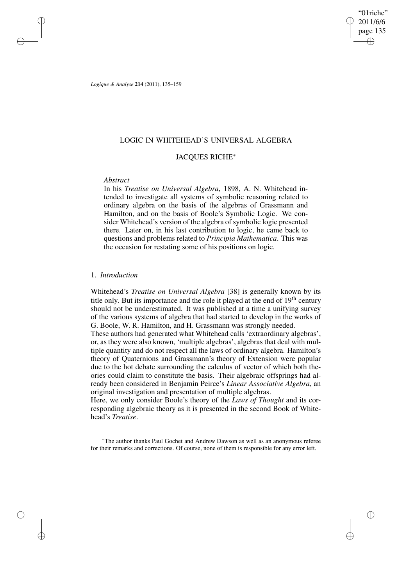"01riche" 2011/6/6 page 135 ✐ ✐

✐

✐

*Logique & Analyse* **214** (2011), 135–159

# LOGIC IN WHITEHEAD'S UNIVERSAL ALGEBRA

# JACQUES RICHE<sup>∗</sup>

# *Abstract*

✐

✐

✐

✐

In his *Treatise on Universal Algebra*, 1898, A. N. Whitehead intended to investigate all systems of symbolic reasoning related to ordinary algebra on the basis of the algebras of Grassmann and Hamilton, and on the basis of Boole's Symbolic Logic. We consider Whitehead's version of the algebra of symbolic logic presented there. Later on, in his last contribution to logic, he came back to questions and problems related to *Principia Mathematica*. This was the occasion for restating some of his positions on logic.

## 1. *Introduction*

Whitehead's *Treatise on Universal Algebra* [38] is generally known by its title only. But its importance and the role it played at the end of  $19<sup>th</sup>$  century should not be underestimated. It was published at a time a unifying survey of the various systems of algebra that had started to develop in the works of G. Boole, W. R. Hamilton, and H. Grassmann was strongly needed.

These authors had generated what Whitehead calls 'extraordinary algebras', or, as they were also known, 'multiple algebras', algebras that deal with multiple quantity and do not respect all the laws of ordinary algebra. Hamilton's theory of Quaternions and Grassmann's theory of Extension were popular due to the hot debate surrounding the calculus of vector of which both theories could claim to constitute the basis. Their algebraic offsprings had already been considered in Benjamin Peirce's *Linear Associative Algebra*, an original investigation and presentation of multiple algebras.

Here, we only consider Boole's theory of the *Laws of Thought* and its corresponding algebraic theory as it is presented in the second Book of Whitehead's *Treatise*.

<sup>∗</sup>The author thanks Paul Gochet and Andrew Dawson as well as an anonymous referee for their remarks and corrections. Of course, none of them is responsible for any error left.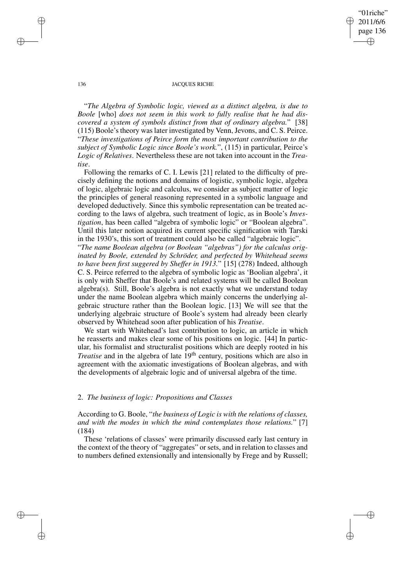✐

### 136 JACQUES RICHE

"*The Algebra of Symbolic logic, viewed as a distinct algebra, is due to Boole* [who] *does not seem in this work to fully realise that he had discovered a system of symbols distinct from that of ordinary algebra.*" [38] (115) Boole'stheory waslater investigated by Venn, Jevons, and C. S. Peirce. "*These investigations of Peirce form the most important contribution to the subject of Symbolic Logic since Boole's work.*", (115) in particular, Peirce's *Logic of Relatives*. Nevertheless these are not taken into account in the *Treatise*.

Following the remarks of C. I. Lewis [21] related to the difficulty of precisely defining the notions and domains of logistic, symbolic logic, algebra of logic, algebraic logic and calculus, we consider as subject matter of logic the principles of general reasoning represented in a symbolic language and developed deductively. Since this symbolic representation can be treated according to the laws of algebra, such treatment of logic, as in Boole's *Investigation*, has been called "algebra of symbolic logic" or "Boolean algebra". Until this later notion acquired its current specific signification with Tarski in the 1930's, this sort of treatment could also be called "algebraic logic".

"*The name Boolean algebra (or Boolean "algebras") for the calculus originated by Boole, extended by Schröder, and perfected by Whitehead seems to have been first suggered by Sheffer in 1913.*" [15] (278) Indeed, although C. S. Peirce referred to the algebra of symbolic logic as 'Boolian algebra', it is only with Sheffer that Boole's and related systems will be called Boolean algebra(s). Still, Boole's algebra is not exactly what we understand today under the name Boolean algebra which mainly concerns the underlying algebraic structure rather than the Boolean logic. [13] We will see that the underlying algebraic structure of Boole's system had already been clearly observed by Whitehead soon after publication of his *Treatise*.

We start with Whitehead's last contribution to logic, an article in which he reasserts and makes clear some of his positions on logic. [44] In particular, his formalist and structuralist positions which are deeply rooted in his *Treatise* and in the algebra of late 19<sup>th</sup> century, positions which are also in agreement with the axiomatic investigations of Boolean algebras, and with the developments of algebraic logic and of universal algebra of the time.

## 2. *The business of logic: Propositions and Classes*

According to G. Boole, "*the business of Logic is with the relations of classes, and with the modes in which the mind contemplates those relations.*" [7] (184)

These 'relations of classes' were primarily discussed early last century in the context of the theory of "aggregates" or sets, and in relation to classes and to numbers defined extensionally and intensionally by Frege and by Russell;

✐

✐

✐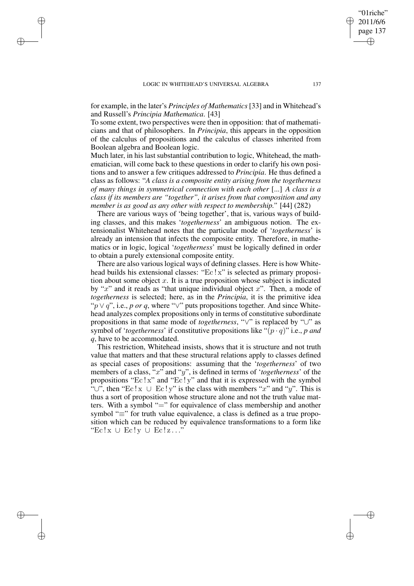✐

✐

✐

for example, in the later's *Principles of Mathematics* [33] and in Whitehead's and Russell's *Principia Mathematica*. [43]

To some extent, two perspectives were then in opposition: that of mathematicians and that of philosophers. In *Principia*, this appears in the opposition of the calculus of propositions and the calculus of classes inherited from Boolean algebra and Boolean logic.

Much later, in his last substantial contribution to logic, Whitehead, the mathematician, will come back to these questions in order to clarify his own positions and to answer a few critiques addressed to *Principia*. He thus defined a class as follows: "*A class is a composite entity arising from the togetherness of many things in symmetrical connection with each other* [...] *A class is a class if its members are "together", it arises from that composition and any member is as good as any other with respect to membership."* [44] (282)

There are various ways of 'being together', that is, various ways of building classes, and this makes '*togetherness*' an ambiguous notion. The extensionalist Whitehead notes that the particular mode of '*togetherness*' is already an intension that infects the composite entity. Therefore, in mathematics or in logic, logical '*togetherness*' must be logically defined in order to obtain a purely extensional composite entity.

There are also various logical ways of defining classes. Here is how Whitehead builds his extensional classes: "Ec ! x" is selected as primary proposition about some object  $x$ . It is a true proposition whose subject is indicated by " $x$ " and it reads as "that unique individual object  $x$ ". Then, a mode of *togetherness* is selected; here, as in the *Principia*, it is the primitive idea "p ∨ q", i.e., *p or q*, where "∨" puts propositions together. And since Whitehead analyzes complex propositions only in terms of constitutive subordinate propositions in that same mode of *togetherness*, "∨" is replaced by "∪" as symbol of '*togetherness*' if constitutive propositions like " $(p \cdot q)$ " i.e., *p* and *q*, have to be accommodated.

This restriction, Whitehead insists, shows that it is structure and not truth value that matters and that these structural relations apply to classes defined as special cases of propositions: assuming that the '*togetherness*' of two members of a class, "x" and "y", is defined in terms of '*togetherness*' of the propositions "Ec! $x$ " and "Ec! $y$ " and that it is expressed with the symbol "∪", then "Ec! $x \cup Ec!y$ " is the class with members "x" and "y". This is thus a sort of proposition whose structure alone and not the truth value matters. With a symbol "=" for equivalence of class membership and another symbol "≡" for truth value equivalence, a class is defined as a true proposition which can be reduced by equivalence transformations to a form like  $Ec!x \cup Ec!y \cup Ec!z...$ "

"01riche" 2011/6/6 page 137

✐

✐

✐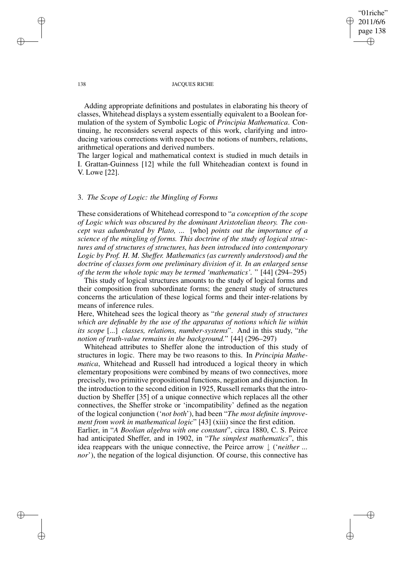# "01riche" 2011/6/6 page 138 ✐ ✐

✐

✐

#### 138 JACQUES RICHE

Adding appropriate definitions and postulates in elaborating his theory of classes, Whitehead displays a system essentially equivalent to a Boolean formulation of the system of Symbolic Logic of *Principia Mathematica*. Continuing, he reconsiders several aspects of this work, clarifying and introducing various corrections with respect to the notions of numbers, relations, arithmetical operations and derived numbers.

The larger logical and mathematical context is studied in much details in I. Grattan-Guinness [12] while the full Whiteheadian context is found in V. Lowe [22].

# 3. *The Scope of Logic: the Mingling of Forms*

These considerations of Whitehead correspond to "*a conception of the scope of Logic which was obscured by the dominant Aristotelian theory. The concept was adumbrated by Plato, ...* [who] *points out the importance of a science of the mingling of forms. This doctrine of the study of logical structures and of structures of structures, has been introduced into contemporary Logic by Prof. H. M. Sheffer. Mathematics (as currently understood) and the doctrine of classes form one preliminary division of it. In an enlarged sense of the term the whole topic may be termed 'mathematics'.* " [44] (294–295)

This study of logical structures amounts to the study of logical forms and their composition from subordinate forms; the general study of structures concerns the articulation of these logical forms and their inter-relations by means of inference rules.

Here, Whitehead sees the logical theory as "*the general study of structures which are definable by the use of the apparatus of notions which lie within its scope* [...] *classes, relations, number-systems*". And in this study, "*the notion of truth-value remains in the background.*" [44] (296–297)

Whitehead attributes to Sheffer alone the introduction of this study of structures in logic. There may be two reasons to this. In *Principia Mathematica*, Whitehead and Russell had introduced a logical theory in which elementary propositions were combined by means of two connectives, more precisely, two primitive propositional functions, negation and disjunction. In the introduction to the second edition in 1925, Russell remarks that the introduction by Sheffer [35] of a unique connective which replaces all the other connectives, the Sheffer stroke or 'incompatibility' defined as the negation of the logical conjunction ('*not both*'), had been "*The most definite improvement from work in mathematical logic*" [43] (xiii) since the first edition.

Earlier, in "*A Boolian algebra with one constant*", circa 1880, C. S. Peirce had anticipated Sheffer, and in 1902, in "*The simplest mathematics*", this idea reappears with the unique connective, the Peirce arrow ↓ ('*neither ... nor*'), the negation of the logical disjunction. Of course, this connective has

✐

✐

✐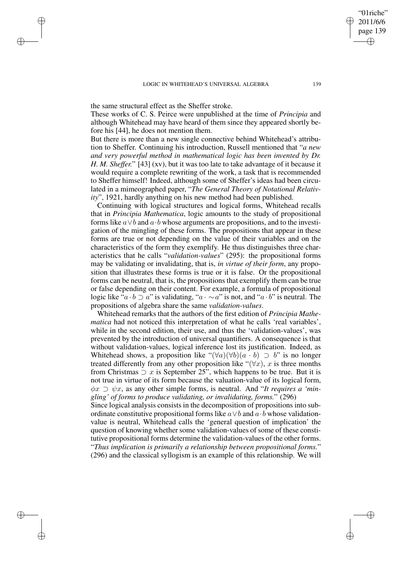the same structural effect as the Sheffer stroke.

✐

✐

✐

✐

These works of C. S. Peirce were unpublished at the time of *Principia* and although Whitehead may have heard of them since they appeared shortly before his [44], he does not mention them.

But there is more than a new single connective behind Whitehead's attribution to Sheffer. Continuing his introduction, Russell mentioned that "*a new and very powerful method in mathematical logic has been invented by Dr. H. M. Sheffer.*" [43] (xv), but it was too late to take advantage of it because it would require a complete rewriting of the work, a task that is recommended to Sheffer himself! Indeed, although some of Sheffer's ideas had been circulated in a mimeographed paper, "*The General Theory of Notational Relativity*", 1921, hardly anything on his new method had been published.

Continuing with logical structures and logical forms, Whitehead recalls that in *Principia Mathematica*, logic amounts to the study of propositional forms like  $a \vee b$  and  $a \cdot b$  whose arguments are propositions, and to the investigation of the mingling of these forms. The propositions that appear in these forms are true or not depending on the value of their variables and on the characteristics of the form they exemplify. He thus distinguishes three characteristics that he calls "*validation-values*" (295): the propositional forms may be validating or invalidating, that is, *in virtue of their form*, any proposition that illustrates these forms is true or it is false. Or the propositional forms can be neutral, that is, the propositions that exemplify them can be true or false depending on their content. For example, a formula of propositional logic like " $a \cdot b \supset a$ " is validating, " $a \cdot \sim a$ " is not, and " $a \cdot b$ " is neutral. The propositions of algebra share the same *validation-values*.

Whitehead remarks that the authors of the first edition of *Principia Mathematica* had not noticed this interpretation of what he calls 'real variables', while in the second edition, their use, and thus the 'validation-values', was prevented by the introduction of universal quantifiers. A consequence is that without validation-values, logical inference lost its justification. Indeed, as Whitehead shows, a proposition like " $(\forall a)(\forall b)(a \cdot b) \supset b$ " is no longer treated differently from any other proposition like " $(\forall x)$ , x is three months from Christmas  $\supset x$  is September 25", which happens to be true. But it is not true in virtue of its form because the valuation-value of its logical form,  $\phi x \supset \psi x$ , as any other simple forms, is neutral. And "*It requires a 'mingling' of forms to produce validating, or invalidating, forms.*" (296)

Since logical analysis consists in the decomposition of propositions into subordinate constitutive propositional forms like  $a \vee b$  and  $a \cdot b$  whose validationvalue is neutral, Whitehead calls the 'general question of implication' the question of knowing whether some validation-values of some of these constitutive propositional forms determine the validation-values of the other forms. "*Thus implication is primarily a relationship between propositional forms.*" (296) and the classical syllogism is an example of this relationship. We will

"01riche" 2011/6/6 page 139

✐

✐

✐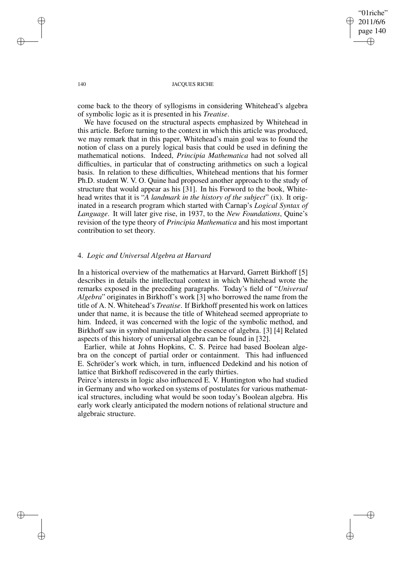✐

#### 140 JACOUES RICHE

come back to the theory of syllogisms in considering Whitehead's algebra of symbolic logic as it is presented in his *Treatise*.

We have focused on the structural aspects emphasized by Whitehead in this article. Before turning to the context in which this article was produced, we may remark that in this paper, Whitehead's main goal was to found the notion of class on a purely logical basis that could be used in defining the mathematical notions. Indeed, *Principia Mathematica* had not solved all difficulties, in particular that of constructing arithmetics on such a logical basis. In relation to these difficulties, Whitehead mentions that his former Ph.D. student W. V. O. Quine had proposed another approach to the study of structure that would appear as his [31]. In his Forword to the book, Whitehead writes that it is "*A landmark in the history of the subject*" (ix). It originated in a research program which started with Carnap's *Logical Syntax of Language*. It will later give rise, in 1937, to the *New Foundations*, Quine's revision of the type theory of *Principia Mathematica* and his most important contribution to set theory.

# 4. *Logic and Universal Algebra at Harvard*

In a historical overview of the mathematics at Harvard, Garrett Birkhoff [5] describes in details the intellectual context in which Whitehead wrote the remarks exposed in the preceding paragraphs. Today's field of "*Universal Algebra*" originates in Birkhoff's work [3] who borrowed the name from the title of A. N. Whitehead's *Treatise*. If Birkhoff presented his work on lattices under that name, it is because the title of Whitehead seemed appropriate to him. Indeed, it was concerned with the logic of the symbolic method, and Birkhoff saw in symbol manipulation the essence of algebra. [3] [4] Related aspects of this history of universal algebra can be found in [32].

Earlier, while at Johns Hopkins, C. S. Peirce had based Boolean algebra on the concept of partial order or containment. This had influenced E. Schröder's work which, in turn, influenced Dedekind and his notion of lattice that Birkhoff rediscovered in the early thirties.

Peirce's interests in logic also influenced E. V. Huntington who had studied in Germany and who worked on systems of postulates for various mathematical structures, including what would be soon today's Boolean algebra. His early work clearly anticipated the modern notions of relational structure and algebraic structure.

✐

✐

✐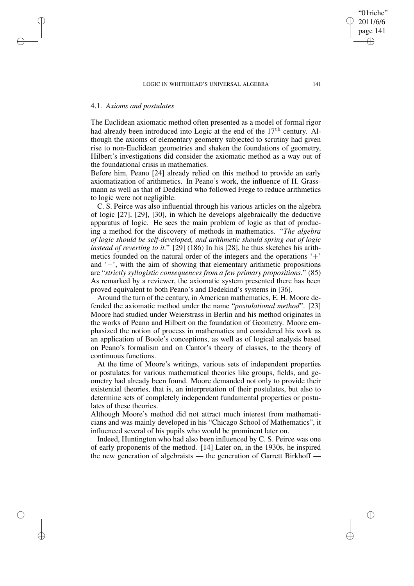# 4.1. *Axioms and postulates*

✐

✐

✐

✐

The Euclidean axiomatic method often presented as a model of formal rigor had already been introduced into Logic at the end of the 17<sup>th</sup> century. Although the axioms of elementary geometry subjected to scrutiny had given rise to non-Euclidean geometries and shaken the foundations of geometry, Hilbert's investigations did consider the axiomatic method as a way out of the foundational crisis in mathematics.

Before him, Peano [24] already relied on this method to provide an early axiomatization of arithmetics. In Peano's work, the influence of H. Grassmann as well as that of Dedekind who followed Frege to reduce arithmetics to logic were not negligible.

C. S. Peirce was also influential through his various articles on the algebra of logic [27], [29], [30], in which he develops algebraically the deductive apparatus of logic. He sees the main problem of logic as that of producing a method for the discovery of methods in mathematics. "*The algebra of logic should be self-developed, and arithmetic should spring out of logic instead of reverting to it.*" [29] (186) In his [28], he thus sketches his arithmetics founded on the natural order of the integers and the operations  $+$ and '−', with the aim of showing that elementary arithmetic propositions are "*strictly syllogistic consequences from a few primary propositions.*" (85) As remarked by a reviewer, the axiomatic system presented there has been proved equivalent to both Peano's and Dedekind's systems in [36].

Around the turn of the century, in American mathematics, E. H. Moore defended the axiomatic method under the name "*postulational method*". [23] Moore had studied under Weierstrass in Berlin and his method originates in the works of Peano and Hilbert on the foundation of Geometry. Moore emphasized the notion of process in mathematics and considered his work as an application of Boole's conceptions, as well as of logical analysis based on Peano's formalism and on Cantor's theory of classes, to the theory of continuous functions.

At the time of Moore's writings, various sets of independent properties or postulates for various mathematical theories like groups, fields, and geometry had already been found. Moore demanded not only to provide their existential theories, that is, an interpretation of their postulates, but also to determine sets of completely independent fundamental properties or postulates of these theories.

Although Moore's method did not attract much interest from mathematicians and was mainly developed in his "Chicago School of Mathematics", it influenced several of his pupils who would be prominent later on.

Indeed, Huntington who had also been influenced by C. S. Peirce was one of early proponents of the method. [14] Later on, in the 1930s, he inspired the new generation of algebraists — the generation of Garrett Birkhoff —

"01riche" 2011/6/6 page 141

✐

✐

✐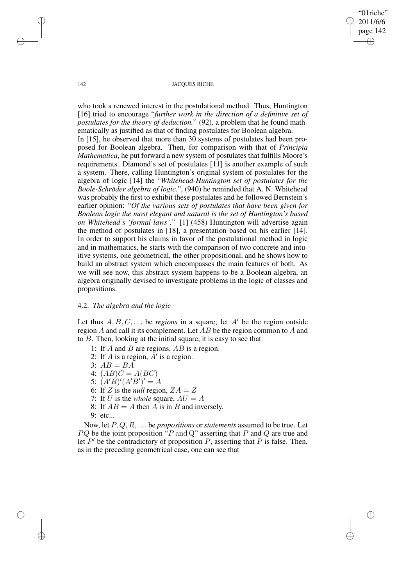✐

#### 142 JACOUES RICHE

who took a renewed interest in the postulational method. Thus, Huntington [16] tried to encourage "*further work in the direction of a definitive set of postulates for the theory of deduction.*" (92), a problem that he found mathematically as justified as that of finding postulates for Boolean algebra. In [15], he observed that more than 30 systems of postulates had been proposed for Boolean algebra. Then, for comparison with that of *Principia Mathematica*, he put forward a new system of postulates that fulfills Moore's requirements. Diamond's set of postulates [11] is another example of such a system. There, calling Huntington's original system of postulates for the algebra of logic [14] the "*Whitehead-Huntington set of postulates for the Boole-Schröder algebra of logic.*", (940) he reminded that A. N. Whitehead was probably the first to exhibit these postulates and he followed Bernstein's earlier opinion: "*Of the various sets of postulates that have been given for Boolean logic the most elegant and natural is the set of Huntington's based on Whitehead's 'formal laws'.*" [1] (458) Huntington will advertise again the method of postulates in [18], a presentation based on his earlier [14]. In order to support his claims in favor of the postulational method in logic and in mathematics, he starts with the comparison of two concrete and intuitive systems, one geometrical, the other propositional, and he shows how to build an abstract system which encompasses the main features of both. As we will see now, this abstract system happens to be a Boolean algebra, an algebra originally devised to investigate problems in the logic of classes and propositions.

# 4.2. *The algebra and the logic*

Let thus  $A, B, C, \ldots$  be *regions* in a square; let  $A'$  be the region outside region A and call it its complement. Let AB be the region common to A and to B. Then, looking at the initial square, it is easy to see that

- 1: If A and B are regions, AB is a region.
- 2: If A is a region,  $\overrightarrow{A}$  is a region.
- 3:  $AB = BA$
- 4:  $(AB)C = A(BC)$
- 5:  $(A'B)'(A'B')' = A$
- 6: If Z is the *null* region,  $ZA = Z$
- 7: If U is the *whole* square,  $AU = A$
- 8: If  $AB = A$  then A is in B and inversely.
- 9: etc...

Now, let P, Q, R, . . . be *propositions* or *statements* assumed to be true. Let PQ be the joint proposition "P and Q" asserting that P and Q are true and let  $P'$  be the contradictory of proposition P, asserting that P is false. Then, as in the preceding geometrical case, one can see that

✐

✐

✐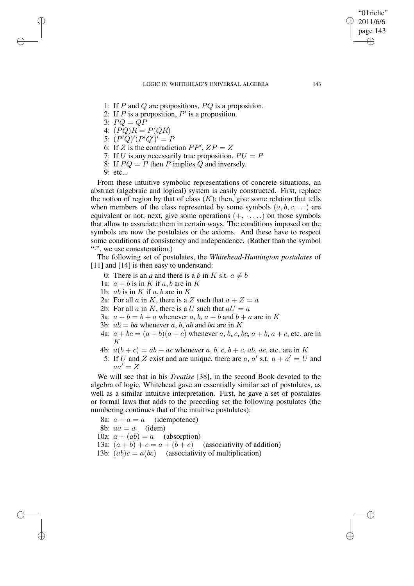- 1: If  $P$  and  $Q$  are propositions,  $PQ$  is a proposition.
- 2: If P is a proposition,  $P'$  is a proposition.
- 3:  $PQ = QP$

✐

✐

✐

- 4:  $(PQ)R = P(QR)$
- 5:  $(P'Q)'(P'Q')' = P$
- 6: If Z is the contradiction  $PP'$ ,  $ZP = Z$
- 7: If U is any necessarily true proposition,  $PU = P$
- 8: If  $PO = P$  then P implies Q and inversely.
- 9: etc...

From these intuitive symbolic representations of concrete situations, an abstract (algebraic and logical) system is easily constructed. First, replace the notion of region by that of class  $(K)$ ; then, give some relation that tells when members of the class represented by some symbols  $(a, b, c, \ldots)$  are equivalent or not; next, give some operations  $(+, \cdot, ...)$  on those symbols that allow to associate them in certain ways. The conditions imposed on the symbols are now the postulates or the axioms. And these have to respect some conditions of consistency and independence. (Rather than the symbol "·", we use concatenation.)

The following set of postulates, the *Whitehead-Huntington postulates* of [11] and [14] is then easy to understand:

- 0: There is an *a* and there is a *b* in K s.t.  $a \neq b$
- 1a:  $a + b$  is in K if a, b are in K
- 1b: *ab* is in  $K$  if  $a, b$  are in  $K$
- 2a: For all a in K, there is a Z such that  $a + Z = a$
- 2b: For all a in K, there is a U such that  $aU = a$
- 3a:  $a + b = b + a$  whenever a, b,  $a + b$  and  $b + a$  are in K
- 3b:  $ab = ba$  whenever a, b, ab and ba are in K
- 4a:  $a + bc = (a + b)(a + c)$  whenever a, b, c, bc,  $a + b$ ,  $a + c$ , etc. are in K
- 4b:  $a(b + c) = ab + ac$  whenever a, b, c, b + c, ab, ac, etc. are in K
	- 5: If U and Z exist and are unique, there are a, a' s.t.  $a + a' = U$  and  $aa' = Z$

We will see that in his *Treatise* [38], in the second Book devoted to the algebra of logic, Whitehead gave an essentially similar set of postulates, as well as a similar intuitive interpretation. First, he gave a set of postulates or formal laws that adds to the preceding set the following postulates (the numbering continues that of the intuitive postulates):

8a:  $a + a = a$  (idempotence) 8b:  $aa = a$  (idem) 10a:  $a + (ab) = a$  (absorption) 13a:  $(a + b) + c = a + (b + c)$  (associativity of addition) 13b:  $(ab)c = a(bc)$  (associativity of multiplication)

"01riche" 2011/6/6 page 143

✐

✐

✐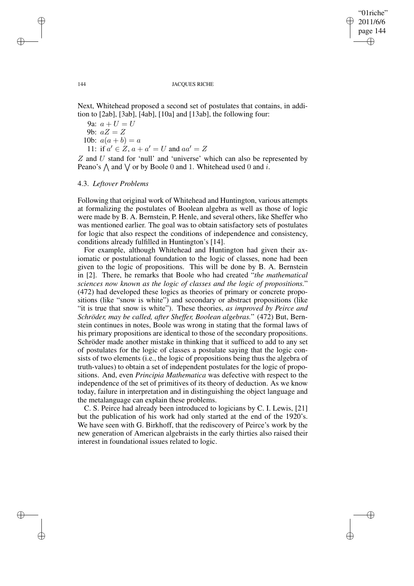✐

#### 144 JACOUES RICHE

Next, Whitehead proposed a second set of postulates that contains, in addition to [2ab], [3ab], [4ab], [10a] and [13ab], the following four:

- 9a:  $a + U = U$
- 9b:  $aZ = Z$
- 10b:  $a(a + b) = a$

11: if  $a' \in Z$ ,  $a + a' = U$  and  $aa' = Z$ 

 $Z$  and  $U$  stand for 'null' and 'universe' which can also be represented by Peano's  $\bigwedge$  and  $\bigvee$  or by Boole 0 and 1. Whitehead used 0 and i.

## 4.3. *Leftover Problems*

Following that original work of Whitehead and Huntington, various attempts at formalizing the postulates of Boolean algebra as well as those of logic were made by B. A. Bernstein, P. Henle, and several others, like Sheffer who was mentioned earlier. The goal was to obtain satisfactory sets of postulates for logic that also respect the conditions of independence and consistency, conditions already fulfilled in Huntington's [14].

For example, although Whitehead and Huntington had given their axiomatic or postulational foundation to the logic of classes, none had been given to the logic of propositions. This will be done by B. A. Bernstein in [2]. There, he remarks that Boole who had created "*the mathematical sciences now known as the logic of classes and the logic of propositions.*" (472) had developed these logics as theories of primary or concrete propositions (like "snow is white") and secondary or abstract propositions (like "it is true that snow is white"). These theories, *as improved by Peirce and Schröder, may be called, after Sheffer, Boolean algebras.*" (472) But, Bernstein continues in notes, Boole was wrong in stating that the formal laws of his primary propositions are identical to those of the secondary propositions. Schröder made another mistake in thinking that it sufficed to add to any set of postulates for the logic of classes a postulate saying that the logic consists of two elements (i.e., the logic of propositions being thus the algebra of truth-values) to obtain a set of independent postulates for the logic of propositions. And, even *Principia Mathematica* was defective with respect to the independence of the set of primitives of its theory of deduction. As we know today, failure in interpretation and in distinguishing the object language and the metalanguage can explain these problems.

C. S. Peirce had already been introduced to logicians by C. I. Lewis, [21] but the publication of his work had only started at the end of the 1920's. We have seen with G. Birkhoff, that the rediscovery of Peirce's work by the new generation of American algebraists in the early thirties also raised their interest in foundational issues related to logic.

✐

✐

✐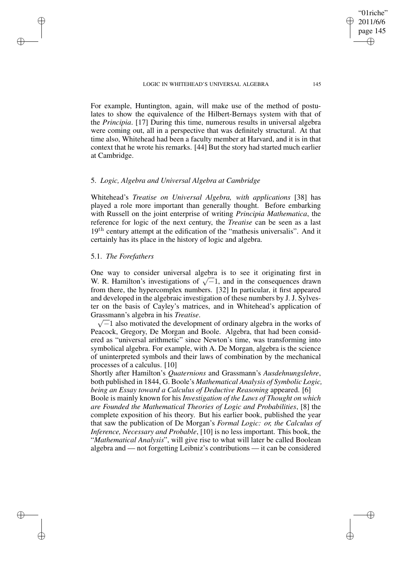For example, Huntington, again, will make use of the method of postulates to show the equivalence of the Hilbert-Bernays system with that of the *Principia*. [17] During this time, numerous results in universal algebra were coming out, all in a perspective that was definitely structural. At that time also, Whitehead had been a faculty member at Harvard, and it is in that context that he wrote his remarks. [44] But the story had started much earlier at Cambridge.

# 5. *Logic, Algebra and Universal Algebra at Cambridge*

Whitehead's *Treatise on Universal Algebra, with applications* [38] has played a role more important than generally thought. Before embarking with Russell on the joint enterprise of writing *Principia Mathematica*, the reference for logic of the next century, the *Treatise* can be seen as a last  $19<sup>th</sup>$  century attempt at the edification of the "mathesis universalis". And it certainly has its place in the history of logic and algebra.

# 5.1. *The Forefathers*

✐

✐

✐

✐

One way to consider universal algebra is to see it originating first in W. R. Hamilton's investigations of  $\sqrt{-1}$ , and in the consequences drawn from there, the hypercomplex numbers. [32] In particular, it first appeared and developed in the algebraic investigation of these numbers by J. J. Sylvester on the basis of Cayley's matrices, and in Whitehead's application of Grassmann' s algebra in his *Treatise*.

 $\sqrt{-1}$  also motivated the development of ordinary algebra in the works of Peacock, Gregory, De Morgan and Boole. Algebra, that had been considered as "universal arithmetic" since Newton's time, was transforming into symbolical algebra. For example, with A. De Morgan, algebra is the science of uninterpreted symbols and their laws of combination by the mechanical processes of a calculus. [10]

Shortly after Hamilton's *Quaternions* and Grassmann's *Ausdehnungslehre*, both published in 1844, G. Boole's *Mathematical Analysis of Symbolic Logic, being an Essay toward a Calculus of Deductive Reasoning* appeared. [6]

Boole is mainly known for his *Investigation of the Laws of Thought on which are Founded the Mathematical Theories of Logic and Probabilities*, [8] the complete exposition of his theory. But his earlier book, published the year that saw the publication of De Morgan's *Formal Logic: or, the Calculus of Inference, Necessary and Probable*, [10] is no less important. This book, the "*Mathematical Analysis*", will give rise to what will later be called Boolean algebra and — not forgetting Leibniz's contributions — it can be considered

"01riche" 2011/6/6 page 145

✐

✐

✐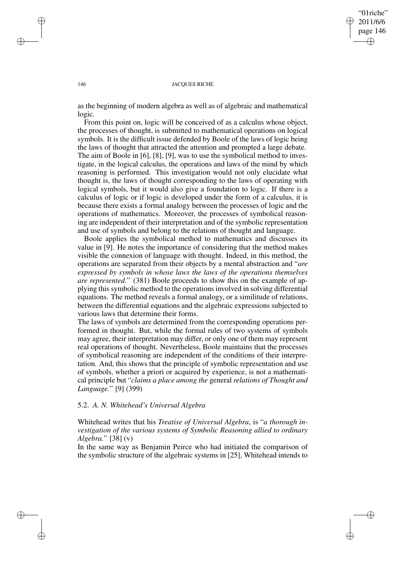✐

#### 146 JACOUES RICHE

as the beginning of modern algebra as well as of algebraic and mathematical logic.

From this point on, logic will be conceived of as a calculus whose object, the processes of thought, is submitted to mathematical operations on logical symbols. It is the difficult issue defended by Boole of the laws of logic being the laws of thought that attracted the attention and prompted a large debate. The aim of Boole in [6], [8], [9], was to use the symbolical method to investigate, in the logical calculus, the operations and laws of the mind by which reasoning is performed. This investigation would not only elucidate what thought is, the laws of thought corresponding to the laws of operating with logical symbols, but it would also give a foundation to logic. If there is a calculus of logic or if logic is developed under the form of a calculus, it is because there exists a formal analogy between the processes of logic and the operations of mathematics. Moreover, the processes of symbolical reasoning are independent of their interpretation and of the symbolic representation and use of symbols and belong to the relations of thought and language.

Boole applies the symbolical method to mathematics and discusses its value in [9]. He notes the importance of considering that the method makes visible the connexion of language with thought. Indeed, in this method, the operations are separated from their objects by a mental abstraction and "*are expressed by symbols in whose laws the laws of the operations themselves are represented.*" (381) Boole proceeds to show this on the example of applying this symbolic method to the operations involved in solving differential equations. The method reveals a formal analogy, or a similitude of relations, between the differential equations and the algebraic expressions subjected to various laws that determine their forms.

The laws of symbols are determined from the corresponding operations performed in thought. But, while the formal rules of two systems of symbols may agree, their interpretation may differ, or only one of them may represent real operations of thought. Nevertheless, Boole maintains that the processes of symbolical reasoning are independent of the conditions of their interpretation. And, this shows that the principle of symbolic representation and use of symbols, whether a priori or acquired by experience, is not a mathematical principle but "*claims a place among the* general *relations of Thought and Language.*" [9] (399)

## 5.2. *A. N. Whitehead's Universal Algebra*

Whitehead writes that his *Treatise of Universal Algebra*, is "*a thorough investigation of the various systems of Symbolic Reasoning allied to ordinary Algebra.*" [38] (v)

In the same way as Benjamin Peirce who had initiated the comparison of the symbolic structure of the algebraic systems in [25], Whitehead intends to

✐

✐

✐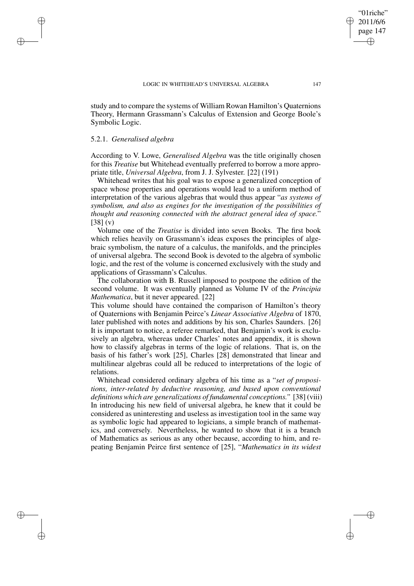study and to compare the systems of William Rowan Hamilton's Quaternions Theory, Hermann Grassmann's Calculus of Extension and George Boole's Symbolic Logic.

# 5.2.1. *Generalised algebra*

✐

✐

✐

✐

According to V. Lowe, *Generalised Algebra* was the title originally chosen for this *Treatise* but Whitehead eventually preferred to borrow a more appropriate title, *Universal Algebra*, from J. J. Sylvester. [22] (191)

Whitehead writes that his goal was to expose a generalized conception of space whose properties and operations would lead to a uniform method of interpretation of the various algebras that would thus appear "*as systems of symbolism, and also as engines for the investigation of the possibilities of thought and reasoning connected with the abstract general idea of space.*" [38] (v)

Volume one of the *Treatise* is divided into seven Books. The first book which relies heavily on Grassmann's ideas exposes the principles of algebraic symbolism, the nature of a calculus, the manifolds, and the principles of universal algebra. The second Book is devoted to the algebra of symbolic logic, and the rest of the volume is concerned exclusively with the study and applications of Grassmann's Calculus.

The collaboration with B. Russell imposed to postpone the edition of the second volume. It was eventually planned as Volume IV of the *Principia Mathematica*, but it never appeared. [22]

This volume should have contained the comparison of Hamilton's theory of Quaternions with Benjamin Peirce's *Linear Associative Algebra* of 1870, later published with notes and additions by his son, Charles Saunders. [26] It is important to notice, a referee remarked, that Benjamin's work is exclusively an algebra, whereas under Charles' notes and appendix, it is shown how to classify algebras in terms of the logic of relations. That is, on the basis of his father's work [25], Charles [28] demonstrated that linear and multilinear algebras could all be reduced to interpretations of the logic of relations.

Whitehead considered ordinary algebra of his time as a "*set of propositions, inter-related by deductive reasoning, and based upon conventional definitions which are generalizations of fundamental conceptions."* [38] (viii) In introducing his new field of universal algebra, he knew that it could be considered as uninteresting and useless as investigation tool in the same way as symbolic logic had appeared to logicians, a simple branch of mathematics, and conversely. Nevertheless, he wanted to show that it is a branch of Mathematics as serious as any other because, according to him, and repeating Benjamin Peirce first sentence of [25], "*Mathematics in its widest*

"01riche" 2011/6/6 page 147

✐

✐

✐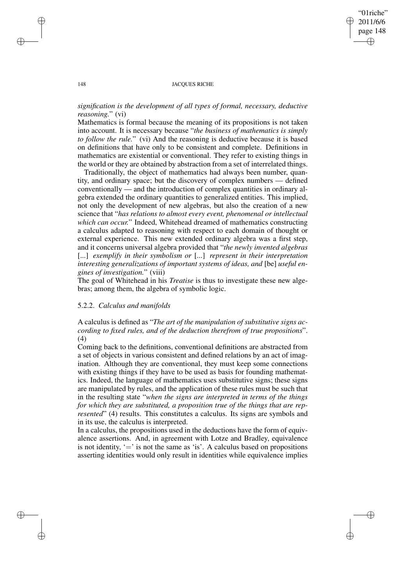✐

#### 148 **JACQUES RICHE**

# *signification is the development of all types of formal, necessary, deductive reasoning.*" (vi)

Mathematics is formal because the meaning of its propositions is not taken into account. It is necessary because "*the business of mathematics is simply to follow the rule.*" (vi) And the reasoning is deductive because it is based on definitions that have only to be consistent and complete. Definitions in mathematics are existential or conventional. They refer to existing things in the world or they are obtained by abstraction from a set of interrelated things.

Traditionally, the object of mathematics had always been number, quantity, and ordinary space; but the discovery of complex numbers — defined conventionally — and the introduction of complex quantities in ordinary algebra extended the ordinary quantities to generalized entities. This implied, not only the development of new algebras, but also the creation of a new science that "*has relations to almost every event, phenomenal or intellectual which can occur.*" Indeed, Whitehead dreamed of mathematics constructing a calculus adapted to reasoning with respect to each domain of thought or external experience. This new extended ordinary algebra was a first step, and it concerns universal algebra provided that "*the newly invented algebras* [...] *exemplify in their symbolism or* [...] *represent in their interpretation interesting generalizations of important systems of ideas, and* [be] *useful engines of investigation.*" (viii)

The goal of Whitehead in his *Treatise* is thus to investigate these new algebras; among them, the algebra of symbolic logic.

## 5.2.2. *Calculus and manifolds*

A calculus is defined as "*The art of the manipulation of substitutive signs according to fixed rules, and of the deduction therefrom of true propositions*". (4)

Coming back to the definitions, conventional definitions are abstracted from a set of objects in various consistent and defined relations by an act of imagination. Although they are conventional, they must keep some connections with existing things if they have to be used as basis for founding mathematics. Indeed, the language of mathematics uses substitutive signs; these signs are manipulated by rules, and the application of these rules must be such that in the resulting state "*when the signs are interpreted in terms of the things for which they are substituted, a proposition true of the things that are represented*" (4) results. This constitutes a calculus. Its signs are symbols and in its use, the calculus is interpreted.

In a calculus, the propositions used in the deductions have the form of equivalence assertions. And, in agreement with Lotze and Bradley, equivalence is not identity,  $\dot{=}$  is not the same as 'is'. A calculus based on propositions asserting identities would only result in identities while equivalence implies

✐

✐

✐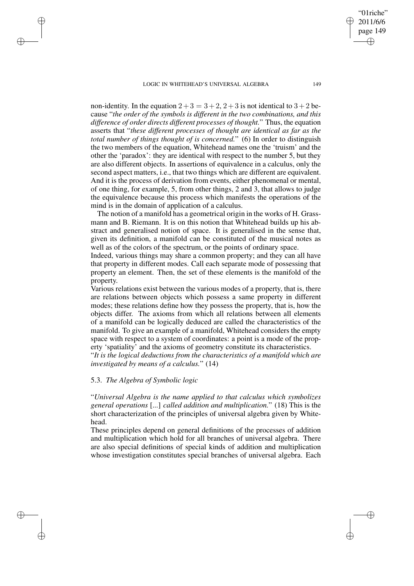non-identity. In the equation  $2+3=3+2$ ,  $2+3$  is not identical to  $3+2$  because "*the order of the symbols is different in the two combinations, and this difference of order directs different processes of thought.*" Thus, the equation asserts that "*these different processes of thought are identical as far as the total number of things thought of is concerned.*" (6) In order to distinguish the two members of the equation, Whitehead names one the 'truism' and the other the 'paradox': they are identical with respect to the number 5, but they are also different objects. In assertions of equivalence in a calculus, only the second aspect matters, i.e., that two things which are different are equivalent. And it is the process of derivation from events, either phenomenal or mental, of one thing, for example, 5, from other things, 2 and 3, that allows to judge the equivalence because this process which manifests the operations of the mind is in the domain of application of a calculus.

The notion of a manifold has a geometrical origin in the works of H. Grassmann and B. Riemann. It is on this notion that Whitehead builds up his abstract and generalised notion of space. It is generalised in the sense that, given its definition, a manifold can be constituted of the musical notes as well as of the colors of the spectrum, or the points of ordinary space.

Indeed, various things may share a common property; and they can all have that property in different modes. Call each separate mode of possessing that property an element. Then, the set of these elements is the manifold of the property.

Various relations exist between the various modes of a property, that is, there are relations between objects which possess a same property in different modes; these relations define how they possess the property, that is, how the objects differ. The axioms from which all relations between all elements of a manifold can be logically deduced are called the characteristics of the manifold. To give an example of a manifold, Whitehead considers the empty space with respect to a system of coordinates: a point is a mode of the property 'spatiality' and the axioms of geometry constitute its characteristics.

"*It is the logical deductions from the characteristics of a manifold which are investigated by means of a calculus.*" (14)

# 5.3. *The Algebra of Symbolic logic*

✐

✐

✐

✐

"*Universal Algebra is the name applied to that calculus which symbolizes general operations* [...] *called addition and multiplication.*" (18) This is the short characterization of the principles of universal algebra given by Whitehead.

These principles depend on general definitions of the processes of addition and multiplication which hold for all branches of universal algebra. There are also special definitions of special kinds of addition and multiplication whose investigation constitutes special branches of universal algebra. Each

"01riche" 2011/6/6 page 149

✐

✐

✐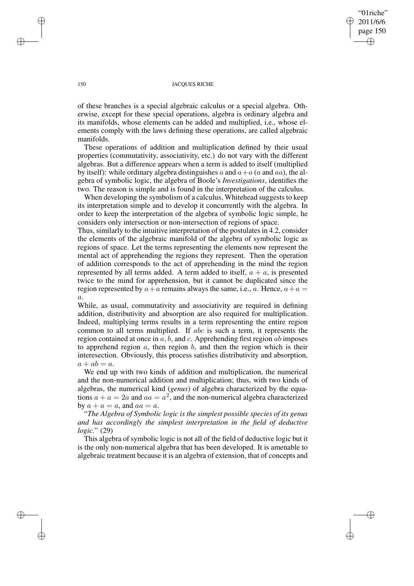# "01riche" 2011/6/6 page 150 ✐ ✐

✐

✐

#### 150 JACQUES RICHE

of these branches is a special algebraic calculus or a special algebra. Otherwise, except for these special operations, algebra is ordinary algebra and its manifolds, whose elements can be added and multiplied, i.e., whose elements comply with the laws defining these operations, are called algebraic manifolds.

These operations of addition and multiplication defined by their usual properties (commutativity, associativity, etc.) do not vary with the different algebras. But a difference appears when a term is added to itself (multiplied by itself): while ordinary algebra distinguishes a and  $a + a$  (a and aa), the algebra of symbolic logic, the algebra of Boole's *Investigations*, identifies the two. The reason is simple and is found in the interpretation of the calculus.

When developing the symbolism of a calculus, Whitehead suggests to keep its interpretation simple and to develop it concurrently with the algebra. In order to keep the interpretation of the algebra of symbolic logic simple, he considers only intersection or non-intersection of regions of space.

Thus, similarly to the intuitive interpretation of the postulates in 4.2, consider the elements of the algebraic manifold of the algebra of symbolic logic as regions of space. Let the terms representing the elements now represent the mental act of apprehending the regions they represent. Then the operation of addition corresponds to the act of apprehending in the mind the region represented by all terms added. A term added to itself,  $a + a$ , is presented twice to the mind for apprehension, but it cannot be duplicated since the region represented by  $a + a$  remains always the same, i.e., a. Hence,  $a + a =$  $a$ .

While, as usual, commutativity and associativity are required in defining addition, distributivity and absorption are also required for multiplication. Indeed, multiplying terms results in a term representing the entire region common to all terms multiplied. If abc is such a term, it represents the region contained at once in  $a, b$ , and  $c$ . Apprehending first region  $ab$  imposes to apprehend region  $a$ , then region  $b$ , and then the region which is their interesection. Obviously, this process satisfies distributivity and absorption,  $a + ab = a.$ 

We end up with two kinds of addition and multiplication, the numerical and the non-numerical addition and multiplication; thus, with two kinds of algebras, the numerical kind (*genus*) of algebra characterized by the equations  $a + a = 2a$  and  $aa = a^2$ , and the non-numerical algebra characterized by  $a + a = a$ , and  $aa = a$ .

"*The Algebra of Symbolic logic is the simplest possible species of its genus and has accordingly the simplest interpretation in the field of deductive logic.*" (29)

This algebra of symbolic logic is not all of the field of deductive logic but it is the only non-numerical algebra that has been developed. It is amenable to algebraic treatment because it is an algebra of extension, that of concepts and

✐

✐

✐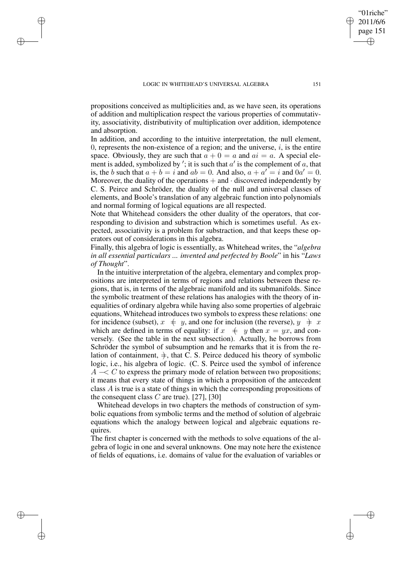✐

✐

✐

propositions conceived as multiplicities and, as we have seen, its operations of addition and multiplication respect the various properties of commutativity, associativity, distributivity of multiplication over addition, idempotence and absorption.

In addition, and according to the intuitive interpretation, the null element, 0, represents the non-existence of a region; and the universe,  $i$ , is the entire space. Obviously, they are such that  $a + 0 = a$  and  $ai = a$ . A special element is added, symbolized by '; it is such that  $a'$  is the complement of a, that is, the b such that  $a + b = i$  and  $ab = 0$ . And also,  $a + a' = i$  and  $0a' = 0$ . Moreover, the duality of the operations  $+$  and  $\cdot$  discovered independently by C. S. Peirce and Schröder, the duality of the null and universal classes of elements, and Boole's translation of any algebraic function into polynomials and normal forming of logical equations are all respected.

Note that Whitehead considers the other duality of the operators, that corresponding to division and substraction which is sometimes useful. As expected, associativity is a problem for substraction, and that keeps these operators out of considerations in this algebra.

Finally, this algebra of logic is essentially, as Whitehead writes, the "*algebra in all essential particulars ... invented and perfected by Boole*" in his "*Laws of Thought*".

In the intuitive interpretation of the algebra, elementary and complex propositions are interpreted in terms of regions and relations between these regions, that is, in terms of the algebraic manifold and its submanifolds. Since the symbolic treatment of these relations has analogies with the theory of inequalities of ordinary algebra while having also some properties of algebraic equations, Whitehead introduces two symbols to express these relations: one for incidence (subset),  $x \neq y$ , and one for inclusion (the reverse),  $y \neq x$ which are defined in terms of equality: if  $x \neq y$  then  $x = yx$ , and conversely. (See the table in the next subsection). Actually, he borrows from Schröder the symbol of subsumption and he remarks that it is from the relation of containment,  $\frac{1}{x}$ , that C. S. Peirce deduced his theory of symbolic logic, i.e., his algebra of logic. (C. S. Peirce used the symbol of inference  $A \sim C$  to express the primary mode of relation between two propositions; it means that every state of things in which a proposition of the antecedent class A is true is a state of things in which the corresponding propositions of the consequent class  $C$  are true). [27], [30]

Whitehead develops in two chapters the methods of construction of symbolic equations from symbolic terms and the method of solution of algebraic equations which the analogy between logical and algebraic equations requires.

The first chapter is concerned with the methods to solve equations of the algebra of logic in one and several unknowns. One may note here the existence of fields of equations, i.e. domains of value for the evaluation of variables or

"01riche" 2011/6/6 page 151

✐

✐

✐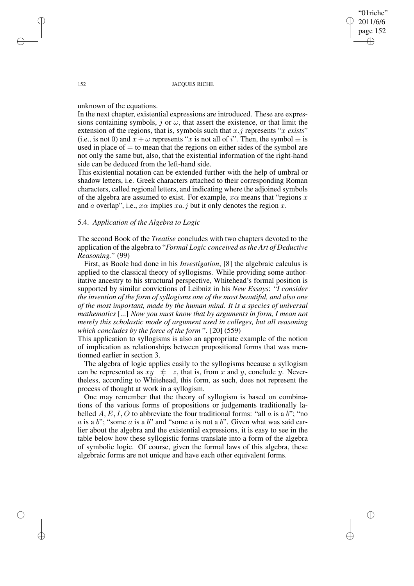#### 152 JACOUES RICHE

"01riche" 2011/6/6 page 152

✐

✐

✐

✐

unknown of the equations.

In the next chapter, existential expressions are introduced. These are expressions containing symbols, j or  $\omega$ , that assert the existence, or that limit the extension of the regions, that is, symbols such that x.j represents "x *exists*" (i.e., is not 0) and  $x + \omega$  represents "x is not all of i". Then, the symbol  $\equiv$  is used in place of  $=$  to mean that the regions on either sides of the symbol are not only the same but, also, that the existential information of the right-hand side can be deduced from the left-hand side.

This existential notation can be extended further with the help of umbral or shadow letters, i.e. Greek characters attached to their corresponding Roman characters, called regional letters, and indicating where the adjoined symbols of the algebra are assumed to exist. For example,  $x\alpha$  means that "regions x" and a overlap", i.e.,  $x\alpha$  implies  $xa. j$  but it only denotes the region x.

# 5.4. *Application of the Algebra to Logic*

The second Book of the *Treatise* concludes with two chapters devoted to the application of the algebra to "*Formal Logic conceived asthe Art of Deductive Reasoning.*" (99)

First, as Boole had done in his *Investigation*, [8] the algebraic calculus is applied to the classical theory of syllogisms. While providing some authoritative ancestry to his structural perspective, Whitehead's formal position is supported by similar convictions of Leibniz in his *New Essays*: "*I consider the invention of the form of syllogisms one of the most beautiful, and also one of the most important, made by the human mind. It is a species of universal mathematics* [...] *Now you must know that by arguments in form, I mean not merely this scholastic mode of argument used in colleges, but all reasoning which concludes by the force of the form* ". [20] (559)

This application to syllogisms is also an appropriate example of the notion of implication as relationships between propositional forms that was mentionned earlier in section 3.

The algebra of logic applies easily to the syllogisms because a syllogism can be represented as  $xy \neq z$ , that is, from x and y, conclude y. Nevertheless, according to Whitehead, this form, as such, does not represent the process of thought at work in a syllogism.

One may remember that the theory of syllogism is based on combinations of the various forms of propositions or judgements traditionally labelled  $A, E, I, O$  to abbreviate the four traditional forms: "all  $a$  is a  $b$ "; "no a is a b"; "some a is a b" and "some a is not a b". Given what was said earlier about the algebra and the existential expressions, it is easy to see in the table below how these syllogistic forms translate into a form of the algebra of symbolic logic. Of course, given the formal laws of this algebra, these algebraic forms are not unique and have each other equivalent forms.

✐

✐

✐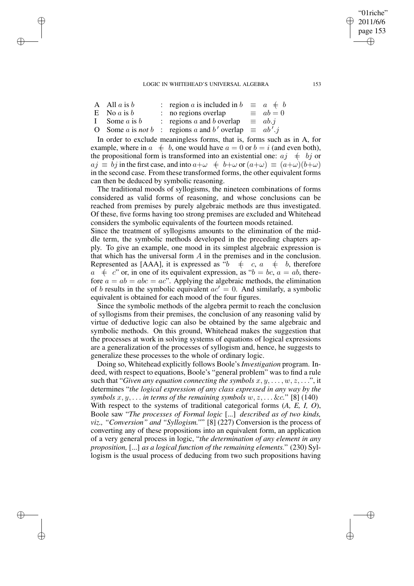A All a is b : region a is included in  $b \equiv a \neq b$ <br>E No a is b : no regions overlap  $\equiv ab = 0$ 

✐

✐

✐

✐

- E No *a* is *b* : no regions overlap  $\equiv ab =$ <br>
I Some *a* is *b* : regions *a* and *b* overlap  $\equiv ab.j$
- $\therefore$  regions a and b overlap
- O Some *a* is *not* b : regions *a* and *b'* overlap  $\equiv$   $ab^i$  $ab'.j$

In order to exclude meaningless forms, that is, forms such as in A, for example, where in  $a \neq b$ , one would have  $a = 0$  or  $b = i$  (and even both), the propositional form is transformed into an existential one:  $aj \neq bj$  or  $a_j \equiv \tilde{b}_j$  in the first case, and into  $a+\omega \neq b+\omega$  or  $(a+\omega) \equiv (a+\omega)(b+\omega)$ in the second case. From these transformed forms, the other equivalent forms can then be deduced by symbolic reasoning.

The traditional moods of syllogisms, the nineteen combinations of forms considered as valid forms of reasoning, and whose conclusions can be reached from premises by purely algebraic methods are thus investigated. Of these, five forms having too strong premises are excluded and Whitehead considers the symbolic equivalents of the fourteen moods retained.

Since the treatment of syllogisms amounts to the elimination of the middle term, the symbolic methods developed in the preceding chapters apply. To give an example, one mood in its simplest algebraic expression is that which has the universal form  $A$  in the premises and in the conclusion. Represented as [AAA], it is expressed as " $b \neq c, a \neq b$ , therefore  $a \neq c$ " or, in one of its equivalent expression, as " $b = bc$ ,  $a = ab$ , therefore  $a = ab = abc = ac$ ". Applying the algebraic methods, the elimination of b results in the symbolic equivalent  $ac' = 0$ . And similarly, a symbolic equivalent is obtained for each mood of the four figures.

Since the symbolic methods of the algebra permit to reach the conclusion of syllogisms from their premises, the conclusion of any reasoning valid by virtue of deductive logic can also be obtained by the same algebraic and symbolic methods. On this ground, Whitehead makes the suggestion that the processes at work in solving systems of equations of logical expressions are a generalization of the processes of syllogism and, hence, he suggests to generalize these processes to the whole of ordinary logic.

Doing so, Whitehead explicitly follows Boole's *Investigation* program. Indeed, with respect to equations, Boole's "general problem" was to find a rule such that "*Given any equation connecting the symbols*  $x, y, \ldots, w, z, \ldots$ ", it determines "*the logical expression of any class expressed in any way by the symbols*  $x, y, \ldots$  *in terms of the remaining symbols*  $w, z, \ldots \&c$ ." [8] (140) With respect to the systems of traditional categorical forms (*A, E, I, O*), Boole saw "*The processes of Formal logic* [...] *described as of two kinds, viz., "Conversion" and "Syllogism."*" [8] (227) Conversion is the process of converting any of these propositions into an equivalent form, an application of a very general process in logic, "*the determination of any element in any proposition,* [...] *as a logical function of the remaining elements.*" (230) Syllogism is the usual process of deducing from two such propositions having

"01riche" 2011/6/6 page 153

✐

✐

✐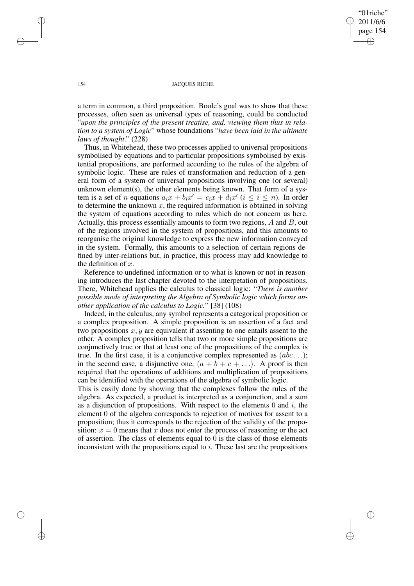"01riche" 2011/6/6 page 154 ✐ ✐

✐

✐

### 154 JACOUES RICHE

a term in common, a third proposition. Boole's goal was to show that these processes, often seen as universal types of reasoning, could be conducted "*upon the principles of the present treatise, and, viewing them thus in relation to a system of Logic*" whose foundations "*have been laid in the ultimate laws of thought*." (228)

Thus, in Whitehead, these two processes applied to universal propositions symbolised by equations and to particular propositions symbolised by existential propositions, are performed according to the rules of the algebra of symbolic logic. These are rules of transformation and reduction of a general form of a system of universal propositions involving one (or several) unknown element(s), the other elements being known. That form of a system is a set of *n* equations  $a_i x + b_i x' = c_i x + d_i x'$  ( $i \le i \le n$ ). In order to determine the unknown  $x$ , the required information is obtained in solving the system of equations according to rules which do not concern us here. Actually, this process essentially amounts to form two regions,  $A$  and  $B$ , out of the regions involved in the system of propositions, and this amounts to reorganise the original knowledge to express the new information conveyed in the system. Formally, this amounts to a selection of certain regions defined by inter-relations but, in practice, this process may add knowledge to the definition of  $x$ .

Reference to undefined information or to what is known or not in reasoning introduces the last chapter devoted to the interpetation of propositions. There, Whitehead applies the calculus to classical logic: "*There is another possible mode of interpreting the Algebra of Symbolic logic which forms another application of the calculus to Logic.*" [38] (108)

Indeed, in the calculus, any symbol represents a categorical proposition or a complex proposition. A simple proposition is an assertion of a fact and two propositions  $x, y$  are equivalent if assenting to one entails assent to the other. A complex proposition tells that two or more simple propositions are conjunctively true or that at least one of the propositions of the complex is true. In the first case, it is a conjunctive complex represented as  $(abc...)$ ; in the second case, a disjunctive one,  $(a + b + c + ...)$ . A proof is then required that the operations of additions and multiplication of propositions can be identified with the operations of the algebra of symbolic logic.

This is easily done by showing that the complexes follow the rules of the algebra. As expected, a product is interpreted as a conjunction, and a sum as a disjunction of propositions. With respect to the elements  $0$  and  $i$ , the element 0 of the algebra corresponds to rejection of motives for assent to a proposition; thus it corresponds to the rejection of the validity of the proposition:  $x = 0$  means that x does not enter the process of reasoning or the act of assertion. The class of elements equal to  $0$  is the class of those elements inconsistent with the propositions equal to i. These last are the propositions

✐

✐

✐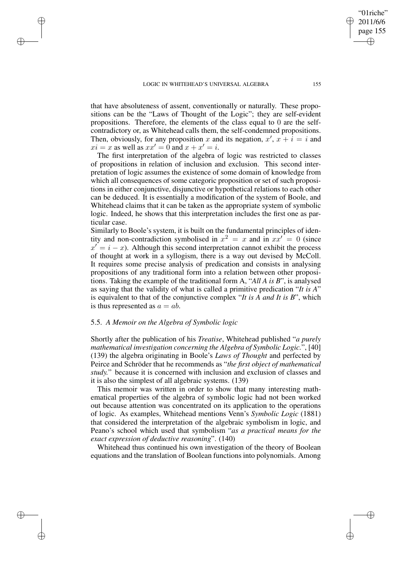✐

✐

✐

that have absoluteness of assent, conventionally or naturally. These propositions can be the "Laws of Thought of the Logic"; they are self-evident propositions. Therefore, the elements of the class equal to 0 are the selfcontradictory or, as Whitehead calls them, the self-condemned propositions. Then, obviously, for any proposition x and its negation,  $x'$ ,  $x + i = i$  and  $xi = x$  as well as  $xx' = 0$  and  $x + x' = i$ .

The first interpretation of the algebra of logic was restricted to classes of propositions in relation of inclusion and exclusion. This second interpretation of logic assumes the existence of some domain of knowledge from which all consequences of some categoric proposition or set of such propositions in either conjunctive, disjunctive or hypothetical relations to each other can be deduced. It is essentially a modification of the system of Boole, and Whitehead claims that it can be taken as the appropriate system of symbolic logic. Indeed, he shows that this interpretation includes the first one as particular case.

Similarly to Boole's system, it is built on the fundamental principles of identity and non-contradiction symbolised in  $x^2 = x$  and in  $xx' = 0$  (since  $x' = i - x$ ). Although this second interpretation cannot exhibit the process of thought at work in a syllogism, there is a way out devised by McColl. It requires some precise analysis of predication and consists in analysing propositions of any traditional form into a relation between other propositions. Taking the example of the traditional form A, "*All A is B*", is analysed as saying that the validity of what is called a primitive predication "*It is A*" is equivalent to that of the conjunctive complex "*It is A and It is B*", which is thus represented as  $a = ab$ .

# 5.5. *A Memoir on the Algebra of Symbolic logic*

Shortly after the publication of his *Treatise*, Whitehead published "*a purely mathematical investigation concerning the Algebra of Symbolic Logic.*", [40] (139) the algebra originating in Boole's *Laws of Thought* and perfected by Peirce and Schröder that he recommends as "*the first object of mathematical study.*" because it is concerned with inclusion and exclusion of classes and it is also the simplest of all algebraic systems. (139)

This memoir was written in order to show that many interesting mathematical properties of the algebra of symbolic logic had not been worked out because attention was concentrated on its application to the operations of logic. As examples, Whitehead mentions Venn's *Symbolic Logic* (1881) that considered the interpretation of the algebraic symbolism in logic, and Peano's school which used that symbolism "*as a practical means for the exact expression of deductive reasoning*". (140)

Whitehead thus continued his own investigation of the theory of Boolean equations and the translation of Boolean functions into polynomials. Among

"01riche" 2011/6/6 page 155

✐

✐

✐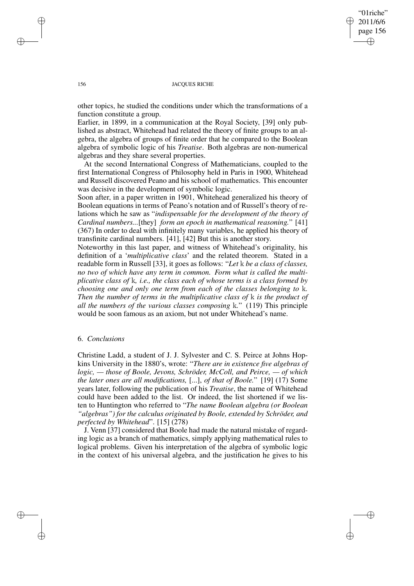"01riche" 2011/6/6 page 156 ✐ ✐

✐

✐

#### 156 JACQUES RICHE

other topics, he studied the conditions under which the transformations of a function constitute a group.

Earlier, in 1899, in a communication at the Royal Society, [39] only published as abstract, Whitehead had related the theory of finite groups to an algebra, the algebra of groups of finite order that he compared to the Boolean algebra of symbolic logic of his *Treatise*. Both algebras are non-numerical algebras and they share several properties.

At the second International Congress of Mathematicians, coupled to the first International Congress of Philosophy held in Paris in 1900, Whitehead and Russell discovered Peano and his school of mathematics. This encounter was decisive in the development of symbolic logic.

Soon after, in a paper written in 1901, Whitehead generalized his theory of Boolean equations in terms of Peano's notation and of Russell's theory of relations which he saw as "*indispensable for the development of the theory of Cardinal numbers...*[they] *form an epoch in mathematical reasoning.*" [41] (367) In order to deal with infinitely many variables, he applied his theory of transfinite cardinal numbers. [41], [42] But this is another story.

Noteworthy in this last paper, and witness of Whitehead's originality, his definition of a '*multiplicative class*' and the related theorem. Stated in a readable form in Russell [33], it goes as follows: "*Let* k *be a class of classes, no two of which have any term in common. Form what is called the multiplicative class of* k*, i.e., the class each of whose terms is a class formed by choosing one and only one term from each of the classes belonging to* k*. Then the number of terms in the multiplicative class of* k *is the product of all the numbers of the various classes composing* k*.*" (119) This principle would be soon famous as an axiom, but not under Whitehead's name.

# 6. *Conclusions*

Christine Ladd, a student of J. J. Sylvester and C. S. Peirce at Johns Hopkins University in the 1880's, wrote: "*There are in existence five algebras of logic, — those of Boole, Jevons, Schröder, McColl, and Peirce, — of which the later ones are all modifications,* [...], *of that of Boole.*" [19] (17) Some years later, following the publication of his *Treatise*, the name of Whitehead could have been added to the list. Or indeed, the list shortened if we listen to Huntington who referred to "*The name Boolean algebra (or Boolean "algebras") for the calculus originated by Boole, extended by Schröder, and perfected by Whitehead*". [15] (278)

J. Venn [37] considered that Boole had made the natural mistake of regarding logic as a branch of mathematics, simply applying mathematical rules to logical problems. Given his interpretation of the algebra of symbolic logic in the context of his universal algebra, and the justification he gives to his

✐

✐

✐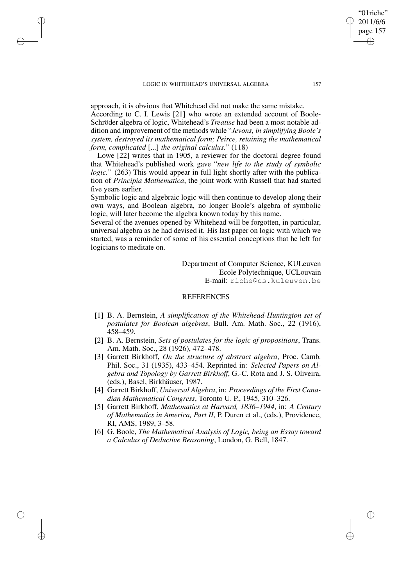✐

✐

✐

✐

approach, it is obvious that Whitehead did not make the same mistake. According to C. I. Lewis [21] who wrote an extended account of Boole-Schröder algebra of logic, Whitehead's *Treatise* had been a most notable addition and improvement of the methods while "*Jevons, in simplifying Boole's system, destroyed its mathematical form; Peirce, retaining the mathematical form, complicated* [...] *the original calculus.*" (118)

Lowe [22] writes that in 1905, a reviewer for the doctoral degree found that Whitehead's published work gave "*new life to the study of symbolic logic.*" (263) This would appear in full light shortly after with the publication of *Principia Mathematica*, the joint work with Russell that had started five years earlier.

Symbolic logic and algebraic logic will then continue to develop along their own ways, and Boolean algebra, no longer Boole's algebra of symbolic logic, will later become the algebra known today by this name.

Several of the avenues opened by Whitehead will be forgotten, in particular, universal algebra as he had devised it. His last paper on logic with which we started, was a reminder of some of his essential conceptions that he left for logicians to meditate on.

> Department of Computer Science, KULeuven Ecole Polytechnique, UCLouvain E-mail: riche@cs.kuleuven.be

# **REFERENCES**

- [1] B. A. Bernstein, *A simplification of the Whitehead-Huntington set of postulates for Boolean algebras*, Bull. Am. Math. Soc., 22 (1916), 458–459.
- [2] B. A. Bernstein, *Sets of postulates for the logic of propositions*, Trans. Am. Math. Soc., 28 (1926), 472–478.
- [3] Garrett Birkhoff, *On the structure of abstract algebra*, Proc. Camb. Phil. Soc., 31 (1935), 433–454. Reprinted in: *Selected Papers on Algebra and Topology by Garrett Birkhoff*, G.-C. Rota and J. S. Oliveira, (eds.), Basel, Birkhäuser, 1987.
- [4] Garrett Birkhoff, *Universal Algebra*, in: *Proceedings of the First Canadian Mathematical Congress*, Toronto U. P., 1945, 310–326.
- [5] Garrett Birkhoff, *Mathematics at Harvard, 1836–1944*, in: *A Century of Mathematics in America, Part II*, P. Duren et al., (eds.), Providence, RI, AMS, 1989, 3–58.
- [6] G. Boole, *The Mathematical Analysis of Logic, being an Essay toward a Calculus of Deductive Reasoning*, London, G. Bell, 1847.

"01riche" 2011/6/6 page 157

✐

✐

✐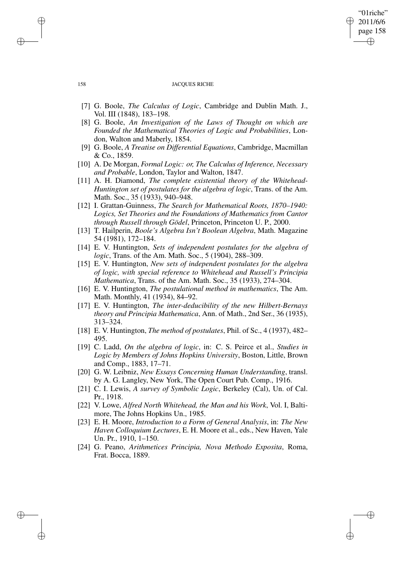# "01riche" 2011/6/6 page 158 ✐ ✐

✐

✐

#### 158 JACQUES RICHE

- [7] G. Boole, *The Calculus of Logic*, Cambridge and Dublin Math. J., Vol. III (1848), 183–198.
- [8] G. Boole, *An Investigation of the Laws of Thought on which are Founded the Mathematical Theories of Logic and Probabilities*, London, Walton and Maberly, 1854.
- [9] G. Boole, *A Treatise on Differential Equations*, Cambridge, Macmillan & Co., 1859.
- [10] A. De Morgan, *Formal Logic: or, The Calculus of Inference, Necessary and Probable*, London, Taylor and Walton, 1847.
- [11] A. H. Diamond, *The complete existential theory of the Whitehead-Huntington set of postulates for the algebra of logic*, Trans. of the Am. Math. Soc., 35 (1933), 940–948.
- [12] I. Grattan-Guinness, *The Search for Mathematical Roots, 1870–1940: Logics, Set Theories and the Foundations of Mathematics from Cantor through Russell through Gödel*, Princeton, Princeton U. P., 2000.
- [13] T. Hailperin, *Boole's Algebra Isn't Boolean Algebra*, Math. Magazine 54 (1981), 172–184.
- [14] E. V. Huntington, *Sets of independent postulates for the algebra of logic*, Trans. of the Am. Math. Soc., 5 (1904), 288–309.
- [15] E. V. Huntington, *New sets of independent postulates for the algebra of logic, with special reference to Whitehead and Russell's Principia Mathematica*, Trans. of the Am. Math. Soc., 35 (1933), 274–304.
- [16] E. V. Huntington, *The postulational method in mathematics*, The Am. Math. Monthly, 41 (1934), 84–92.
- [17] E. V. Huntington, *The inter-deducibility of the new Hilbert-Bernays theory and Principia Mathematica*, Ann. of Math., 2nd Ser., 36 (1935), 313–324.
- [18] E. V. Huntington, *The method of postulates*, Phil. of Sc., 4 (1937), 482– 495.
- [19] C. Ladd, *On the algebra of logic*, in: C. S. Peirce et al., *Studies in Logic by Members of Johns Hopkins University*, Boston, Little, Brown and Comp., 1883, 17–71.
- [20] G. W. Leibniz, *New Essays Concerning Human Understanding*, transl. by A. G. Langley, New York, The Open Court Pub. Comp., 1916.
- [21] C. I. Lewis, *A survey of Symbolic Logic*, Berkeley (Cal), Un. of Cal. Pr., 1918.
- [22] V. Lowe, *Alfred North Whitehead, the Man and his Work*, Vol. I, Baltimore, The Johns Hopkins Un., 1985.
- [23] E. H. Moore, *Introduction to a Form of General Analysis*, in: *The New Haven Colloquium Lectures*, E. H. Moore et al., eds., New Haven, Yale Un. Pr., 1910, 1–150.
- [24] G. Peano, *Arithmetices Principia, Nova Methodo Exposita*, Roma, Frat. Bocca, 1889.

✐

✐

✐